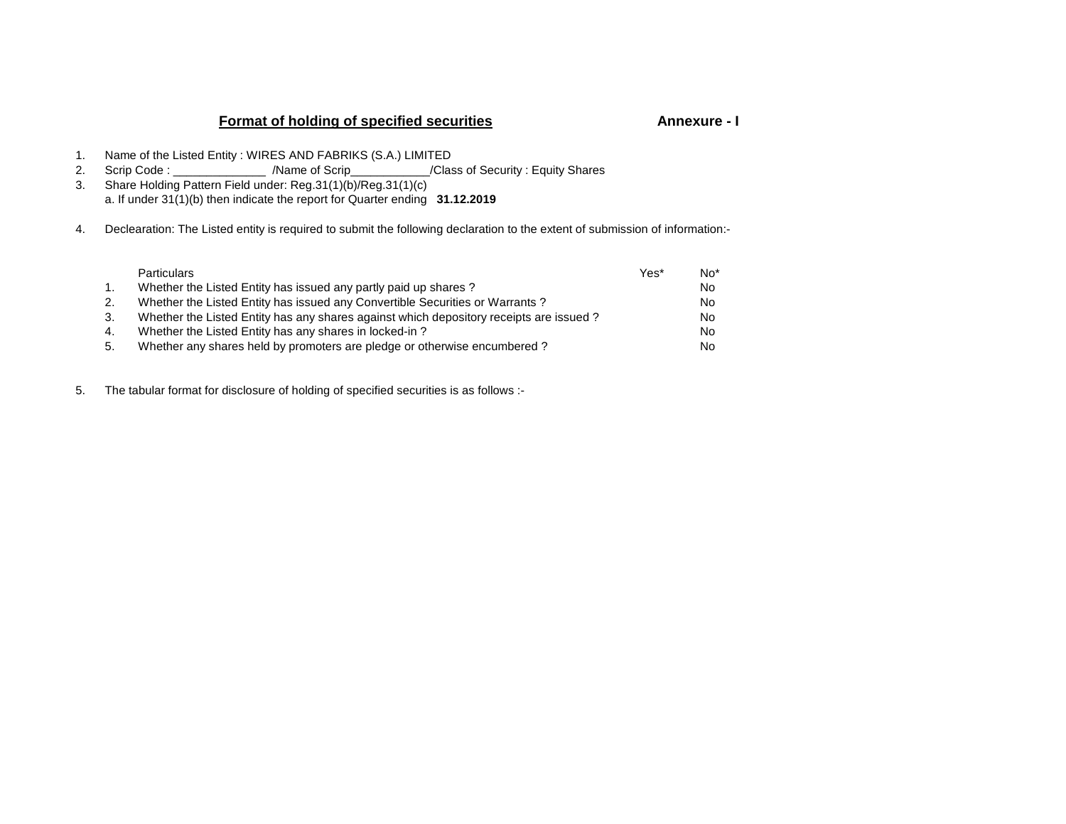# **Format of holding of specified securities**

## **Annexure - I**

- 1. Name of the Listed Entity : WIRES AND FABRIKS (S.A.) LIMITED
- 
- 2. Scrip Code : \_\_\_\_\_\_\_\_\_\_\_\_\_\_ /Name of Scrip\_\_\_\_\_\_\_\_\_\_\_\_/Class of Security : Equity Shares 3. Share Holding Pattern Field under: Reg.31(1)(b)/Reg.31(1)(c)a. If under 31(1)(b) then indicate the report for Quarter ending **31.12.2019**
- 4. Declearation: The Listed entity is required to submit the following declaration to the extent of submission of information:-

| <b>Particulars</b>                                                                     | Yes* | $No*$ |
|----------------------------------------------------------------------------------------|------|-------|
| Whether the Listed Entity has issued any partly paid up shares?                        |      | No.   |
| Whether the Listed Entity has issued any Convertible Securities or Warrants?           |      | No.   |
| Whether the Listed Entity has any shares against which depository receipts are issued? |      | No.   |
| Whether the Listed Entity has any shares in locked-in?                                 |      | No.   |
| Whether any shares held by promoters are pledge or otherwise encumbered?               |      | No.   |
|                                                                                        |      |       |

5. The tabular format for disclosure of holding of specified securities is as follows :-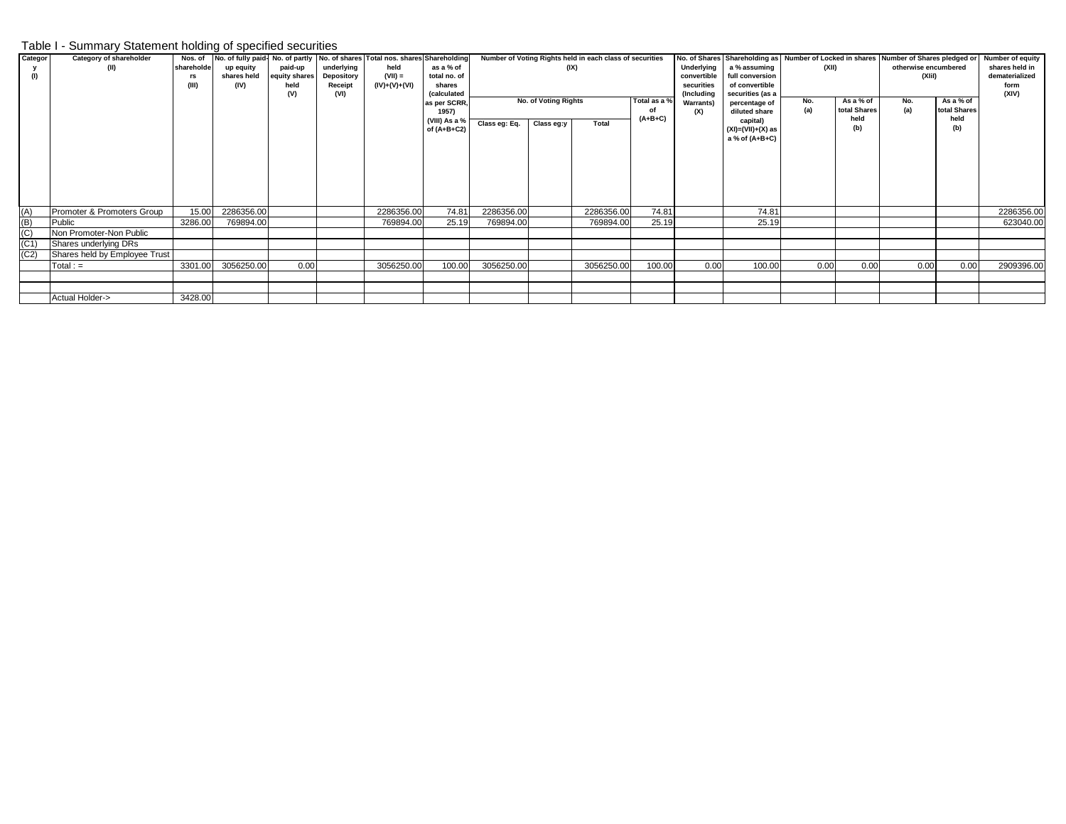### Table I - Summary Statement holding of specified securities

| Categor | Category of shareholder       | Nos. of    |             |               |            | No. of fully paid-No. of partly No. of shares Total nos. shares Shareholding |                       |               |                      | Number of Voting Rights held in each class of securities |                                |                  |                                |      |              |                      |                | No. of Shares Shareholding as Number of Locked in shares Number of Shares pledged or Number of equity |
|---------|-------------------------------|------------|-------------|---------------|------------|------------------------------------------------------------------------------|-----------------------|---------------|----------------------|----------------------------------------------------------|--------------------------------|------------------|--------------------------------|------|--------------|----------------------|----------------|-------------------------------------------------------------------------------------------------------|
|         | (II)                          | shareholde | up equity   | paid-up       | underlying | held                                                                         | as a % of             |               | (IX)                 |                                                          |                                | Underlying       | a % assuming                   |      | (XII)        | otherwise encumbered |                | shares held in                                                                                        |
| (1)     |                               | rs         | shares held | equity shares | Depository | $(VII) =$                                                                    | total no. of          |               |                      |                                                          | convertible<br>full conversion |                  |                                |      | (XIiI)       |                      | dematerialized |                                                                                                       |
|         |                               | (III)      | (IV)        | held          | Receipt    | $(IV)+(V)+(V)$                                                               | shares                |               |                      |                                                          |                                | securities       | of convertible                 |      |              |                      |                | form                                                                                                  |
|         |                               |            |             | (V)           | (VI)       |                                                                              | <i>(calculated</i>    |               | No. of Voting Rights |                                                          | Total as a %                   | (Including       | securities (as a               | No.  | As a % of    | No.                  | As a % of      | (XIV)                                                                                                 |
|         |                               |            |             |               |            |                                                                              | as per SCRR.<br>1957) |               |                      |                                                          | οf                             | <b>Warrants)</b> | percentage of<br>diluted share | (a)  | total Shares | (a)                  | total Shares   |                                                                                                       |
|         |                               |            |             |               |            |                                                                              | (VIII) As a %         |               |                      | $(A+B+C)$                                                |                                | (X)              | capital)                       |      | held         |                      | held           |                                                                                                       |
|         |                               |            |             |               |            |                                                                              | of $(A+B+C2)$         | Class eg: Eq. | Class eg:y           | Total                                                    |                                |                  | $(XI) = (VII) + (X)$ as        |      | (b)          |                      | (b)            |                                                                                                       |
|         |                               |            |             |               |            |                                                                              |                       |               |                      |                                                          |                                |                  | a % of (A+B+C)                 |      |              |                      |                |                                                                                                       |
|         |                               |            |             |               |            |                                                                              |                       |               |                      |                                                          |                                |                  |                                |      |              |                      |                |                                                                                                       |
|         |                               |            |             |               |            |                                                                              |                       |               |                      |                                                          |                                |                  |                                |      |              |                      |                |                                                                                                       |
|         |                               |            |             |               |            |                                                                              |                       |               |                      |                                                          |                                |                  |                                |      |              |                      |                |                                                                                                       |
|         |                               |            |             |               |            |                                                                              |                       |               |                      |                                                          |                                |                  |                                |      |              |                      |                |                                                                                                       |
|         |                               |            |             |               |            |                                                                              |                       |               |                      |                                                          |                                |                  |                                |      |              |                      |                |                                                                                                       |
|         |                               |            |             |               |            |                                                                              |                       |               |                      |                                                          |                                |                  |                                |      |              |                      |                |                                                                                                       |
| (A)     | Promoter & Promoters Group    | 15.00      | 2286356.00  |               |            | 2286356.00                                                                   | 74.81                 | 2286356.00    |                      | 2286356.00                                               | 74.81                          |                  | 74.81                          |      |              |                      |                | 2286356.00                                                                                            |
|         |                               |            |             |               |            |                                                                              |                       |               |                      |                                                          |                                |                  |                                |      |              |                      |                |                                                                                                       |
| (B)     | Public                        | 3286.00    | 769894.00   |               |            | 769894.00                                                                    | 25.19                 | 769894.00     |                      | 769894.00                                                | 25.19                          |                  | 25.19                          |      |              |                      |                | 623040.00                                                                                             |
| (C)     | Non Promoter-Non Public       |            |             |               |            |                                                                              |                       |               |                      |                                                          |                                |                  |                                |      |              |                      |                |                                                                                                       |
| (C1)    | Shares underlying DRs         |            |             |               |            |                                                                              |                       |               |                      |                                                          |                                |                  |                                |      |              |                      |                |                                                                                                       |
| (C2)    | Shares held by Employee Trust |            |             |               |            |                                                                              |                       |               |                      |                                                          |                                |                  |                                |      |              |                      |                |                                                                                                       |
|         | $Total: =$                    | 3301.00    | 3056250.00  | 0.00          |            | 3056250.00                                                                   | 100.00                | 3056250.00    |                      | 3056250.00                                               | 100.00                         | 0.00             | 100.00                         | 0.00 | 0.00         | 0.00                 | 0.00           | 2909396.00                                                                                            |
|         |                               |            |             |               |            |                                                                              |                       |               |                      |                                                          |                                |                  |                                |      |              |                      |                |                                                                                                       |
|         |                               |            |             |               |            |                                                                              |                       |               |                      |                                                          |                                |                  |                                |      |              |                      |                |                                                                                                       |
|         | Actual Holder->               | 3428.00    |             |               |            |                                                                              |                       |               |                      |                                                          |                                |                  |                                |      |              |                      |                |                                                                                                       |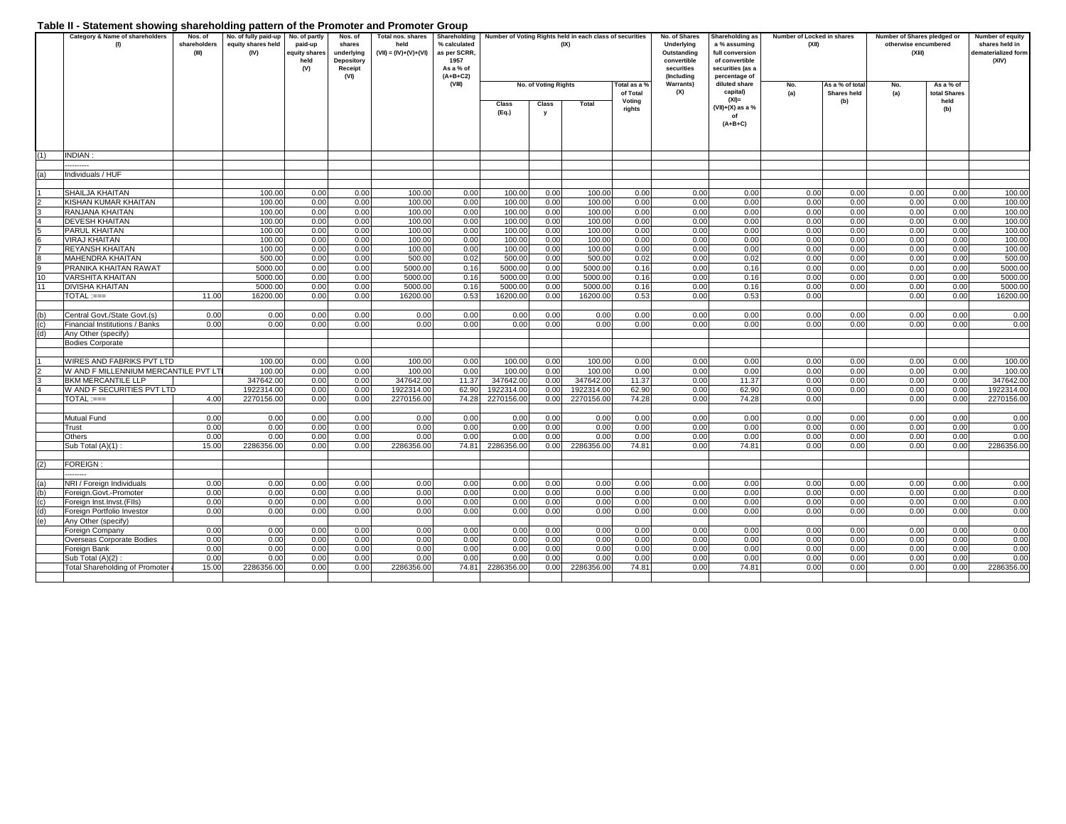#### **Table II - Statement showing shareholding pattern of the Promoter and Promoter Group**

|     | Table if - Statement Showing Shareholding pattern or the Fromoter and Fromoter Group<br>Category & Name of shareholders<br>(1) | Nos. of<br>shareholders<br>(III) | No. of fully paid-up No. of partly<br>equity shares held<br>(IV) | paid-up<br>equity shares | Nos. of<br>shares<br>underlying      | Total nos. shares<br>held<br>$(VII) = (IV)+(V)+(VI)$ | Shareholding<br>% calculated<br>as per SCRR, |                  |                      | Number of Voting Rights held in each class of securities<br>(IX) |                               | No. of Shares<br><b>Underlying</b><br>Outstanding | Shareholding as<br>a % assuming<br>full conversion  | Number of Locked in shares<br>(XII) |                                | Number of Shares pledged or<br>otherwise encumbered<br>(XI) |                           | Number of equity<br>shares held in<br>dematerialized form |
|-----|--------------------------------------------------------------------------------------------------------------------------------|----------------------------------|------------------------------------------------------------------|--------------------------|--------------------------------------|------------------------------------------------------|----------------------------------------------|------------------|----------------------|------------------------------------------------------------------|-------------------------------|---------------------------------------------------|-----------------------------------------------------|-------------------------------------|--------------------------------|-------------------------------------------------------------|---------------------------|-----------------------------------------------------------|
|     |                                                                                                                                |                                  |                                                                  | held<br>(V)              | <b>Depository</b><br>Receipt<br>(VI) |                                                      | 1957<br>As a % of<br>$(A+B+C2)$              |                  |                      |                                                                  |                               | convertible<br>securities<br>(Including           | of convertible<br>securities (as a<br>percentage of |                                     |                                |                                                             |                           | (XIV)                                                     |
|     |                                                                                                                                |                                  |                                                                  |                          |                                      |                                                      | (VIII)                                       |                  | No. of Voting Rights |                                                                  | <b>Total as a</b><br>of Total | <b>Warrants)</b><br>(X)                           | diluted share<br>capital)                           | No.<br>(a)                          | As a % of total<br>Shares held | No.<br>(a)                                                  | As a % of<br>total Shares |                                                           |
|     |                                                                                                                                |                                  |                                                                  |                          |                                      |                                                      |                                              | Class            | Class                | Total                                                            | Voting<br>rights              |                                                   | $(XI) =$<br>(VII)+(X) as a %                        |                                     | (b)                            |                                                             | held<br>(b)               |                                                           |
|     |                                                                                                                                |                                  |                                                                  |                          |                                      |                                                      |                                              | (Eq.)            | у                    |                                                                  |                               |                                                   | of<br>$(A+B+C)$                                     |                                     |                                |                                                             |                           |                                                           |
|     |                                                                                                                                |                                  |                                                                  |                          |                                      |                                                      |                                              |                  |                      |                                                                  |                               |                                                   |                                                     |                                     |                                |                                                             |                           |                                                           |
| (1) | <b>NDIAN</b><br>                                                                                                               |                                  |                                                                  |                          |                                      |                                                      |                                              |                  |                      |                                                                  |                               |                                                   |                                                     |                                     |                                |                                                             |                           |                                                           |
| (a) | Individuals / HUF                                                                                                              |                                  |                                                                  |                          |                                      |                                                      |                                              |                  |                      |                                                                  |                               |                                                   |                                                     |                                     |                                |                                                             |                           |                                                           |
|     |                                                                                                                                |                                  |                                                                  |                          |                                      |                                                      |                                              |                  |                      |                                                                  |                               |                                                   |                                                     |                                     |                                |                                                             |                           |                                                           |
|     | SHAILJA KHAITAN                                                                                                                |                                  | 100.00                                                           | 0.00                     | 0.00                                 | 100.00                                               | 0.00                                         | 100.00           | 0.00                 | 100.00                                                           | 0.00                          | 0.00                                              | 0.00                                                | 0.00                                | 0.00                           | 0.00                                                        | 0.00                      | 100.00                                                    |
|     | KISHAN KUMAR KHAITAN                                                                                                           |                                  | 100.00                                                           | 0.00                     | 0.00                                 | 100.00                                               | 0.00                                         | 100.00           | 0.00                 | 100.00                                                           | 0.00                          | 0.00                                              | 0.00                                                | 0.00                                | 0.00                           | 0.00                                                        | 0.00                      | 100.00                                                    |
|     | RANJANA KHAITAN                                                                                                                |                                  | 100.00                                                           | 0.00                     | 0.00                                 | 100.00                                               | 0.00                                         | 100.00           | 0.00                 | 100.00                                                           | 0.00                          | 0.00                                              | 0.00                                                | 0.00                                | 0.00                           | 0.00                                                        | 0.00                      | 100.00                                                    |
|     | <b>DEVESH KHAITAN</b>                                                                                                          |                                  | 100.00                                                           | 0.00                     | 0.00                                 | 100.00                                               | 0.00                                         | 100.00           | 0.00                 | 100.00                                                           | 0.00                          | 0.00                                              | 0.00                                                | 0.00                                | 0.00                           | 0.00                                                        | 0.00                      | 100.00                                                    |
|     | PARUL KHAITAN                                                                                                                  |                                  | 100.00                                                           | 0.00                     | 0.00                                 | 100.00                                               | 0.00                                         | 100.00           | 0.00                 | 100.00                                                           | 0.00                          | 0.00                                              | 0.00                                                | 0.00                                | 0.00                           | 0.00                                                        | 0.00                      | 100.00                                                    |
|     | <b>VIRAJ KHAITAN</b><br><b>REYANSH KHAITAN</b>                                                                                 |                                  | 100.00<br>100.00                                                 | 0.00<br>0.00             | 0.00<br>0.00                         | 100.00<br>100.00                                     | 0.00<br>0.00                                 | 100.00<br>100.00 | 0.00<br>0.00         | 100.00<br>100.00                                                 | 0.00<br>0.00                  | 0.00<br>0.00                                      | 0.00<br>0.00                                        | 0.00<br>0.00                        | 0.00<br>0.00                   | 0.00<br>0.00                                                | 0.00<br>0.00              | 100.00<br>100.00                                          |
|     | <b>MAHENDRA KHAITAN</b>                                                                                                        |                                  | 500.00                                                           | 0.00                     | 0.00                                 | 500.00                                               | 0.02                                         | 500.00           | 0.00                 | 500.00                                                           | 0.02                          | 0.00                                              | 0.02                                                | 0.00                                | 0.00                           | 0.00                                                        | 0.00                      | 500.00                                                    |
|     | PRANIKA KHAITAN RAWAT                                                                                                          |                                  | 5000.00                                                          | 0.00                     | 0.00                                 | 5000.00                                              | 0.16                                         | 5000.00          | 0.00                 | 5000.00                                                          | 0.16                          | 0.00                                              | 0.16                                                | 0.00                                | 0.00                           | 0.00                                                        | 0.00                      | 5000.00                                                   |
| 10  | <b>VARSHITA KHAITAN</b>                                                                                                        |                                  | 5000.00                                                          | 0.00                     | 0.00                                 | 5000.00                                              | 0.16                                         | 5000.00          | 0.00                 | 5000.00                                                          | 0.16                          | 0.00                                              | 0.16                                                | 0.00                                | 0.00                           | 0.00                                                        | 0.00                      | 5000.00                                                   |
| 11  | <b>DIVISHA KHAITAN</b>                                                                                                         |                                  | 5000.00                                                          | 0.00                     | 0.00                                 | 5000.00                                              | 0.16                                         | 5000.00          | 0.00                 | 5000.00                                                          | 0.16                          | 0.00                                              | 0.16                                                | 0.00                                | 0.00                           | 0.00                                                        | 0.00                      | 5000.00                                                   |
|     | $TOTAL := ==$                                                                                                                  | 11.00                            | 16200.00                                                         | 0.00                     | 0.00                                 | 16200.00                                             | 0.53                                         | 16200.00         | 0.00                 | 16200.00                                                         | 0.53                          | 0.00                                              | 0.53                                                | 0.00                                |                                | 0.00                                                        | 0.00                      | 16200.00                                                  |
|     |                                                                                                                                |                                  |                                                                  |                          |                                      |                                                      |                                              |                  |                      |                                                                  |                               |                                                   |                                                     |                                     |                                |                                                             |                           |                                                           |
| (b) | Central Govt./State Govt.(s)                                                                                                   | 0.00                             | 0.00                                                             | 0.00                     | 0.00                                 | 0.00                                                 | 0.00                                         | 0.00             | 0.00                 | 0.00                                                             | 0.00                          | 0.00                                              | 0.00                                                | 0.00                                | 0.00                           | 0.00                                                        | 0.00                      | 0.00                                                      |
| (c) | Financial Institutions / Banks                                                                                                 | 0.00                             | 0.00                                                             | 0.00                     | 0.00                                 | 0.00                                                 | 0.00                                         | 0.00             | 0.00                 | 0.00                                                             | 0.00                          | 0.00                                              | 0.00                                                | 0.00                                | 0.00                           | 0.00                                                        | 0.00                      | 0.00                                                      |
| (d) | Any Other (specify)                                                                                                            |                                  |                                                                  |                          |                                      |                                                      |                                              |                  |                      |                                                                  |                               |                                                   |                                                     |                                     |                                |                                                             |                           |                                                           |
|     | <b>Bodies Corporate</b>                                                                                                        |                                  |                                                                  |                          |                                      |                                                      |                                              |                  |                      |                                                                  |                               |                                                   |                                                     |                                     |                                |                                                             |                           |                                                           |
|     | WIRES AND FABRIKS PVT LTD                                                                                                      |                                  |                                                                  |                          |                                      |                                                      |                                              |                  |                      |                                                                  |                               |                                                   |                                                     | 0.00                                |                                |                                                             | 0.00                      |                                                           |
|     | W AND F MILLENNIUM MERCANTILE PVT LT                                                                                           |                                  | 100.00<br>100.00                                                 | 0.00<br>0.00             | 0.00<br>0.00                         | 100.00<br>100.00                                     | 0.00<br>0.00                                 | 100.00<br>100.00 | 0.00<br>0.00         | 100.00<br>100.00                                                 | 0.00<br>0.00                  | 0.00<br>0.00                                      | 0.00<br>0.00                                        | 0.00                                | 0.00<br>0.00                   | 0.00<br>0.00                                                | 0.00                      | 100.00<br>100.00                                          |
| 3   | BKM MERCANTILE LLP                                                                                                             |                                  | 347642.00                                                        | 0.00                     | 0.00                                 | 347642.00                                            | 11.37                                        | 347642.00        | 0.00                 | 347642.00                                                        | 11.37                         | 0.00                                              | 11.37                                               | 0.00                                | 0.00                           | 0.00                                                        | 0.00                      | 347642.00                                                 |
|     | W AND F SECURITIES PVT LTD                                                                                                     |                                  | 1922314.00                                                       | 0.00                     | 0.00                                 | 1922314.00                                           | 62.90                                        | 1922314.00       | 0.00                 | 1922314.00                                                       | 62.90                         | 0.00                                              | 62.90                                               | 0.00                                | 0.00                           | 0.00                                                        | 0.00                      | 1922314.00                                                |
|     | TOTAL :===                                                                                                                     | 4.00                             | 2270156.00                                                       | 0.00                     | 0.00                                 | 2270156.00                                           | 74.28                                        | 2270156.00       | 0.00                 | 2270156.00                                                       | 74.28                         | 0.00                                              | 74.28                                               | 0.00                                |                                | 0.00                                                        | 0.00                      | 2270156.00                                                |
|     |                                                                                                                                |                                  |                                                                  |                          |                                      |                                                      |                                              |                  |                      |                                                                  |                               |                                                   |                                                     |                                     |                                |                                                             |                           |                                                           |
|     | Mutual Fund                                                                                                                    | 0.00                             | 0.00                                                             | 0.00                     | 0.00                                 | 0.00                                                 | 0.00                                         | 0.00             | 0.00                 | 0.00                                                             | 0.00                          | 0.00                                              | 0.00                                                | 0.00                                | 0.00                           | 0.00                                                        | 0.00                      | 0.00                                                      |
|     | Trust                                                                                                                          | 0.00                             | 0.00                                                             | 0.00                     | 0.00                                 | 0.00                                                 | 0.00                                         | 0.00             | 0.00                 | 0.00                                                             | 0.00                          | 0.00                                              | 0.00                                                | 0.00                                | 0.00                           | 0.00                                                        | 0.00                      | 0.00                                                      |
|     | Others                                                                                                                         | 0.00                             | 0.00                                                             | 0.00                     | 0.00                                 | 0.00                                                 | 0.00                                         | 0.00             | 0.00                 | 0.00                                                             | 0.00                          | 0.00                                              | 0.00                                                | 0.00                                | 0.00                           | 0.00                                                        | 0.00                      | 0.00                                                      |
|     | Sub Total (A)(1):                                                                                                              | 15.00                            | 2286356.00                                                       | 0.00                     | 0.00                                 | 2286356.00                                           | 74.81                                        | 2286356.00       | 0.00                 | 2286356.00                                                       | 74.81                         | 0.00                                              | 74.81                                               | 0.00                                | 0.00                           | 0.00                                                        | 0.00                      | 2286356.00                                                |
|     |                                                                                                                                |                                  |                                                                  |                          |                                      |                                                      |                                              |                  |                      |                                                                  |                               |                                                   |                                                     |                                     |                                |                                                             |                           |                                                           |
| (2) | FOREIGN:<br>-------                                                                                                            |                                  |                                                                  |                          |                                      |                                                      |                                              |                  |                      |                                                                  |                               |                                                   |                                                     |                                     |                                |                                                             |                           |                                                           |
| (a) | NRI / Foreign Individuals                                                                                                      | 0.00                             | 0.00                                                             | 0.00                     | 0.00                                 | 0.00                                                 | 0.00                                         | 0.00             | 0.00                 | 0.00                                                             | 0.00                          | 0.00                                              | 0.00                                                | 0.00                                | 0.00                           | 0.00                                                        | 0.00                      | 0.00                                                      |
| (b) | Foreign.Govt.-Promoter                                                                                                         | 0.00                             | 0.00                                                             | 0.00                     | 0.00                                 | 0.00                                                 | 0.00                                         | 0.00             | 0.00                 | 0.00                                                             | 0.00                          | 0.00                                              | 0.00                                                | 0.00                                | 0.00                           | 0.00                                                        | 0.00                      | 0.00                                                      |
| (c) | Foreign Inst.Invst.(FIIs)                                                                                                      | 0.00                             | 0.00                                                             | 0.00                     | 0.00                                 | 0.00                                                 | 0.00                                         | 0.00             | 0.00                 | 0.00                                                             | 0.00                          | 0.00                                              | 0.00                                                | 0.00                                | 0.00                           | 0.00                                                        | 0.00                      | 0.00                                                      |
| (d) | Foreign Portfolio Investor                                                                                                     | 0.00                             | 0.00                                                             | 0.00                     | 0.00                                 | 0.00                                                 | 0.00                                         | 0.00             | 0.00                 | 0.00                                                             | 0.00                          | 0.00                                              | 0.00                                                | 0.00                                | 0.00                           | 0.00                                                        | 0.00                      | 0.00                                                      |
| (e) | Any Other (specify)                                                                                                            |                                  |                                                                  |                          |                                      |                                                      |                                              |                  |                      |                                                                  |                               |                                                   |                                                     |                                     |                                |                                                             |                           |                                                           |
|     | Foreign Company                                                                                                                | 0.00                             | 0.00                                                             | 0.00                     | 0.00                                 | 0.00                                                 | 0.00                                         | 0.00             | 0.00                 | 0.00                                                             | 0.00                          | 0.00                                              | 0.00                                                | 0.00                                | 0.00                           | 0.00                                                        | 0.00                      | 0.00                                                      |
|     | Overseas Corporate Bodies                                                                                                      | 0.00                             | 0.00                                                             | 0.00                     | 0.00                                 | 0.00                                                 | 0.00                                         | 0.00             | 0.00                 | 0.00                                                             | 0.00                          | 0.00                                              | 0.00                                                | 0.00                                | 0.00                           | 0.00                                                        | 0.00                      | 0.00                                                      |
|     | Foreign Bank                                                                                                                   | 0.00                             | 0.00                                                             | 0.00                     | 0.00                                 | 0.00                                                 | 0.00                                         | 0.00             | 0.00                 | 0.00                                                             | 0.00                          | 0.00                                              | 0.00                                                | 0.00                                | 0.00                           | 0.00                                                        | 0.00                      | 0.00                                                      |
|     | Sub Total (A)(2)                                                                                                               | 0.00                             | 0.00                                                             | 0.00                     | 0.00                                 | 0.00                                                 | 0.00                                         | 0.00             | 0.00                 | 0.00                                                             | 0.00                          | 0.00                                              | 0.00                                                | 0.00                                | 0.00                           | 0.00                                                        | 0.00                      | 0.00                                                      |
|     | <b>Total Shareholding of Promoter</b>                                                                                          | 15.00                            | 2286356.00                                                       | 0.00                     | 0.00                                 | 2286356.00                                           | 74.81                                        | 2286356.00       | 0.00                 | 2286356.00                                                       | 74.81                         | 0.00                                              | 74.81                                               | 0.00                                | 0.00                           | 0.00                                                        | 0.00                      | 2286356.00                                                |
|     |                                                                                                                                |                                  |                                                                  |                          |                                      |                                                      |                                              |                  |                      |                                                                  |                               |                                                   |                                                     |                                     |                                |                                                             |                           |                                                           |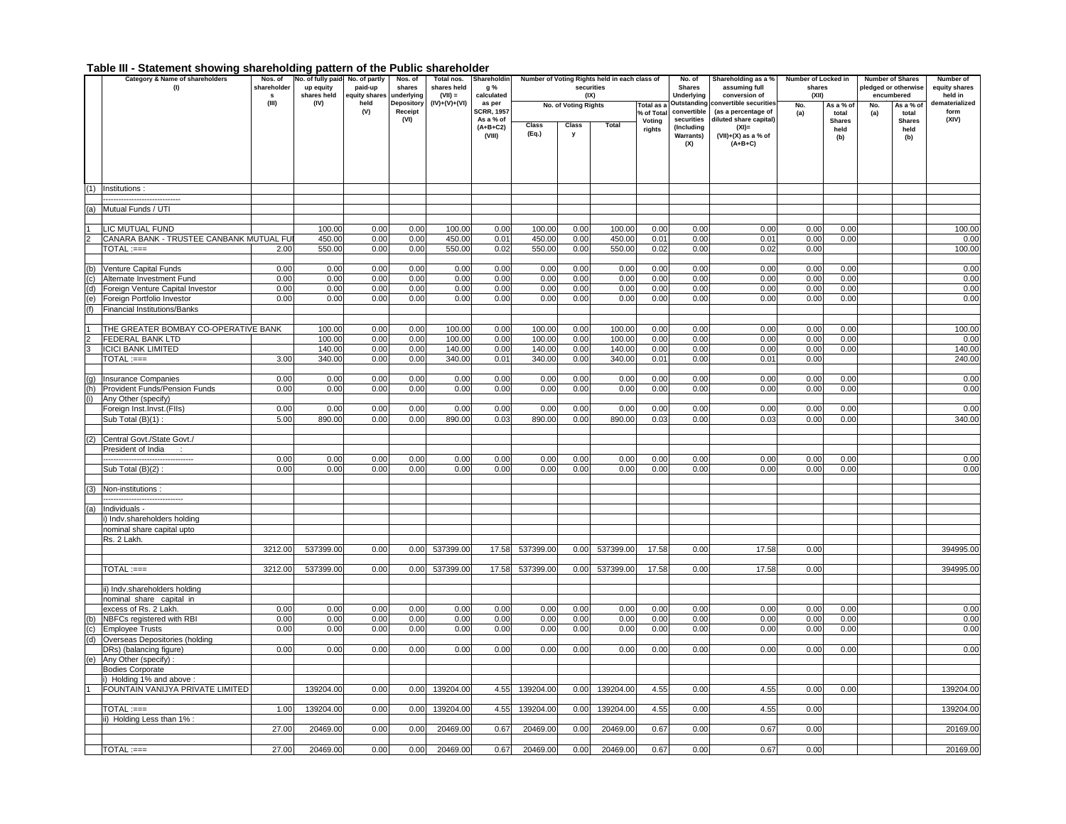#### **Table III - Statement showing shareholding pattern of the Public shareholder**

|                | Category & Name of shareholders                            | Nos. of     | No. of fully paid-  | No. of partly         | Nos. of                  | Total nos.                 | Shareholdin          | Number of Voting Rights held in each class of |                      |            |                          | No. of                    | Shareholding as a %                    | Number of Locked in |                    | <b>Number of Shares</b> |                      | Number of                 |  |
|----------------|------------------------------------------------------------|-------------|---------------------|-----------------------|--------------------------|----------------------------|----------------------|-----------------------------------------------|----------------------|------------|--------------------------|---------------------------|----------------------------------------|---------------------|--------------------|-------------------------|----------------------|---------------------------|--|
|                | (1)                                                        | shareholder | up equity           | paid-up               | shares                   | shares held                | g %                  |                                               |                      | securities |                          | <b>Shares</b>             | assuming full                          | shares              |                    |                         | pledged or otherwise | equity shares             |  |
|                |                                                            | s.<br>(III) | shares held<br>(IV) | equity shares<br>held | underlying<br>Depository | $(VII) =$<br>(IV)+(V)+(VI) | calculated<br>as per |                                               |                      | (IX)       |                          | Underlying<br>Outstanding | conversion of<br>onvertible securities | (XII)               |                    |                         | encumbered           | held in<br>dematerialized |  |
|                |                                                            |             |                     | (V)                   | Receipt                  |                            | <b>SCRR, 1957</b>    |                                               | No. of Voting Rights |            | Total as a<br>% of Total | convertible               | (as a percentage of                    | No.<br>(a)          | As a % of<br>total | No.<br>(a)              | As a % of<br>total   | form                      |  |
|                |                                                            |             |                     |                       | (VI)                     |                            | As a % of            |                                               |                      | Total      | Voting                   | securities                | diluted share capital)                 |                     | <b>Shares</b>      |                         | <b>Shares</b>        | (XIV)                     |  |
|                |                                                            |             |                     |                       |                          |                            | $(A+B+C2)$           | Class<br>(Eq.)                                | Class<br><b>V</b>    |            | rights                   | (Including                | $(XI) =$                               |                     | held               |                         | held                 |                           |  |
|                |                                                            |             |                     |                       |                          |                            | (VIII)               |                                               |                      |            |                          | <b>Warrants)</b>          | $(VII)+(X)$ as a % of<br>$(A+B+C)$     |                     | (b)                |                         | (b)                  |                           |  |
|                |                                                            |             |                     |                       |                          |                            |                      |                                               |                      |            |                          | (X)                       |                                        |                     |                    |                         |                      |                           |  |
|                |                                                            |             |                     |                       |                          |                            |                      |                                               |                      |            |                          |                           |                                        |                     |                    |                         |                      |                           |  |
|                |                                                            |             |                     |                       |                          |                            |                      |                                               |                      |            |                          |                           |                                        |                     |                    |                         |                      |                           |  |
|                |                                                            |             |                     |                       |                          |                            |                      |                                               |                      |            |                          |                           |                                        |                     |                    |                         |                      |                           |  |
| (1)            | Institutions:                                              |             |                     |                       |                          |                            |                      |                                               |                      |            |                          |                           |                                        |                     |                    |                         |                      |                           |  |
|                |                                                            |             |                     |                       |                          |                            |                      |                                               |                      |            |                          |                           |                                        |                     |                    |                         |                      |                           |  |
| (a)            | Mutual Funds / UTI                                         |             |                     |                       |                          |                            |                      |                                               |                      |            |                          |                           |                                        |                     |                    |                         |                      |                           |  |
|                |                                                            |             |                     |                       |                          |                            |                      |                                               |                      |            |                          |                           |                                        |                     |                    |                         |                      |                           |  |
|                | LIC MUTUAL FUND                                            |             | 100.00              | 0.00                  | 0.00                     | 100.00                     | 0.00                 | 100.00                                        | 0.00                 | 100.00     | 0.00                     | 0.00                      | 0.00                                   | 0.00                | 0.00               |                         |                      | 100.00                    |  |
| $\mathcal{P}$  | CANARA BANK - TRUSTEE CANBANK MUTUAL FU                    |             | 450.00              | 0.00                  | 0.00                     | 450.00                     | 0.01                 | 450.00                                        | 0.00                 | 450.00     | 0.01                     | 0.00                      | 0.01                                   | 0.00                | 0.00               |                         |                      | 0.00                      |  |
|                | TOTAL :===                                                 | 2.00        | 550.00              | 0.00                  | 0.00                     | 550.00                     | 0.02                 | 550.00                                        | 0.00                 | 550.00     | 0.02                     | 0.00                      | 0.02                                   | 0.00                |                    |                         |                      | 100.00                    |  |
| (b)            | Venture Capital Funds                                      | 0.00        | 0.00                | 0.00                  | 0.00                     | 0.00                       | 0.00                 | 0.00                                          | 0.00                 | 0.00       | 0.00                     | 0.00                      | 0.00                                   | 0.00                | 0.00               |                         |                      | 0.00                      |  |
| (c)            | Alternate Investment Fund                                  | 0.00        | 0.00                | 0.00                  | 0.00                     | 0.00                       | 0.00                 | 0.00                                          | 0.00                 | 0.00       | 0.00                     | 0.00                      | 0.00                                   | 0.00                | 0.00               |                         |                      | 0.00                      |  |
| (d)            | Foreign Venture Capital Investor                           | 0.00        | 0.00                | 0.00                  | 0.00                     | 0.00                       | 0.00                 | 0.00                                          | 0.00                 | 0.00       | 0.00                     | 0.00                      | 0.00                                   | 0.00                | 0.00               |                         |                      | 0.00                      |  |
| (e)            | Foreign Portfolio Investor                                 | 0.00        | 0.00                | 0.00                  | 0.00                     | 0.00                       | 0.00                 | 0.00                                          | 0.00                 | 0.00       | 0.00                     | 0.00                      | 0.00                                   | 0.00                | 0.00               |                         |                      | 0.00                      |  |
| (f)            | Financial Institutions/Banks                               |             |                     |                       |                          |                            |                      |                                               |                      |            |                          |                           |                                        |                     |                    |                         |                      |                           |  |
|                |                                                            |             |                     |                       |                          |                            |                      |                                               |                      |            |                          |                           |                                        |                     |                    |                         |                      |                           |  |
| $\overline{1}$ | THE GREATER BOMBAY CO-OPERATIVE BANK                       |             | 100.00              | 0.00                  | 0.00                     | 100.00                     | 0.00                 | 100.00                                        | 0.00                 | 100.00     | 0.00                     | 0.00                      | 0.00                                   | 0.00                | 0.00               |                         |                      | 100.00                    |  |
| $\overline{2}$ | FEDERAL BANK LTD                                           |             | 100.00              | 0.00                  | 0.00                     | 100.00                     | 0.00                 | 100.00                                        | 0.00                 | 100.00     | 0.00                     | 0.00                      | 0.00                                   | 0.00                | 0.00               |                         |                      | 0.00                      |  |
| 3              | <b>ICICI BANK LIMITED</b>                                  |             | 140.00              | 0.00                  | 0.00                     | 140.00                     | 0.00                 | 140.00                                        | 0.00                 | 140.00     | 0.00                     | 0.00                      | 0.00                                   | 0.00                | 0.00               |                         |                      | 140.00                    |  |
|                | $TOTAL := =$                                               | 3.00        | 340.00              | 0.00                  | 0.00                     | 340.00                     | 0.01                 | 340.00                                        | 0.00                 | 340.00     | 0.01                     | 0.00                      | 0.01                                   | 0.00                |                    |                         |                      | 240.00                    |  |
|                |                                                            |             |                     |                       |                          |                            |                      |                                               |                      |            |                          |                           |                                        |                     |                    |                         |                      |                           |  |
| (g)            | Insurance Companies                                        | 0.00        | 0.00                | 0.00                  | 0.00                     | 0.00                       | 0.00                 | 0.00                                          | 0.00                 | 0.00       | 0.00                     | 0.00                      | 0.00                                   | 0.00                | 0.00               |                         |                      | 0.00                      |  |
| (h)            | Provident Funds/Pension Funds                              | 0.00        | 0.00                | 0.00                  | 0.00                     | 0.00                       | 0.00                 | 0.00                                          | 0.00                 | 0.00       | 0.00                     | 0.00                      | 0.00                                   | 0.00                | 0.00               |                         |                      | 0.00                      |  |
| (i)            | Any Other (specify)                                        |             |                     |                       |                          |                            |                      |                                               |                      |            |                          |                           |                                        |                     |                    |                         |                      |                           |  |
|                | Foreign Inst.Invst.(FIIs)                                  | 0.00        | 0.00                | 0.00                  | 0.00                     | 0.00                       | 0.00                 | 0.00                                          | 0.00                 | 0.00       | 0.00                     | 0.00                      | 0.00                                   | 0.00                | 0.00               |                         |                      | 0.00                      |  |
|                | Sub Total $(B)(1)$ :                                       | 5.00        | 890.00              | 0.00                  | 0.00                     | 890.00                     | 0.03                 | 890.00                                        | 0.00                 | 890.00     | 0.03                     | 0.00                      | 0.03                                   | 0.00                | 0.00               |                         |                      | 340.00                    |  |
|                |                                                            |             |                     |                       |                          |                            |                      |                                               |                      |            |                          |                           |                                        |                     |                    |                         |                      |                           |  |
| (2)            | Central Govt./State Govt./                                 |             |                     |                       |                          |                            |                      |                                               |                      |            |                          |                           |                                        |                     |                    |                         |                      |                           |  |
|                | President of India                                         |             |                     |                       |                          |                            |                      |                                               |                      |            |                          |                           |                                        |                     |                    |                         |                      |                           |  |
|                |                                                            | 0.00        | 0.00                | 0.00                  | 0.00                     | 0.00                       | 0.00                 | 0.00                                          | 0.00                 | 0.00       | 0.00                     | 0.00                      | 0.00                                   | 0.00                | 0.00               |                         |                      | 0.00                      |  |
|                | Sub Total (B)(2):                                          | 0.00        | 0.00                | 0.00                  | 0.00                     | 0.00                       | 0.00                 | 0.00                                          | 0.00                 | 0.00       | 0.00                     | 0.00                      | 0.00                                   | 0.00                | 0.00               |                         |                      | 0.00                      |  |
|                |                                                            |             |                     |                       |                          |                            |                      |                                               |                      |            |                          |                           |                                        |                     |                    |                         |                      |                           |  |
| (3)            | Non-institutions:                                          |             |                     |                       |                          |                            |                      |                                               |                      |            |                          |                           |                                        |                     |                    |                         |                      |                           |  |
|                |                                                            |             |                     |                       |                          |                            |                      |                                               |                      |            |                          |                           |                                        |                     |                    |                         |                      |                           |  |
| (a)            | Individuals -                                              |             |                     |                       |                          |                            |                      |                                               |                      |            |                          |                           |                                        |                     |                    |                         |                      |                           |  |
|                | i) Indv.shareholders holding<br>nominal share capital upto |             |                     |                       |                          |                            |                      |                                               |                      |            |                          |                           |                                        |                     |                    |                         |                      |                           |  |
|                | Rs. 2 Lakh.                                                |             |                     |                       |                          |                            |                      |                                               |                      |            |                          |                           |                                        |                     |                    |                         |                      |                           |  |
|                |                                                            | 3212.00     | 537399.00           | 0.00                  | 0.00                     | 537399.00                  | 17.58                | 537399.00                                     | 0.00                 | 537399.00  | 17.58                    | 0.00                      | 17.58                                  | 0.00                |                    |                         |                      | 394995.00                 |  |
|                |                                                            |             |                     |                       |                          |                            |                      |                                               |                      |            |                          |                           |                                        |                     |                    |                         |                      |                           |  |
|                | $TOTAL := ==$                                              | 3212.00     | 537399.00           | 0.00                  | 0.00                     | 537399.00                  | 17.58                | 537399.00                                     | 0.00                 | 537399.00  | 17.58                    | 0.00                      | 17.58                                  | 0.00                |                    |                         |                      | 394995.00                 |  |
|                |                                                            |             |                     |                       |                          |                            |                      |                                               |                      |            |                          |                           |                                        |                     |                    |                         |                      |                           |  |
|                | ii) Indv.shareholders holding                              |             |                     |                       |                          |                            |                      |                                               |                      |            |                          |                           |                                        |                     |                    |                         |                      |                           |  |
|                | nominal share capital in                                   |             |                     |                       |                          |                            |                      |                                               |                      |            |                          |                           |                                        |                     |                    |                         |                      |                           |  |
|                | excess of Rs. 2 Lakh.                                      | 0.00        | 0.00                | 0.00                  | 0.00                     | 0.00                       | 0.00                 | 0.00                                          | 0.00                 | 0.00       | 0.00                     | 0.00                      | 0.00                                   | 0.00                | 0.00               |                         |                      | 0.00                      |  |
| (b)            | NBFCs registered with RBI                                  | 0.00        | 0.00                | 0.00                  | 0.00                     | 0.00                       | 0.00                 | 0.00                                          | 0.00                 | 0.00       | 0.00                     | 0.00                      | 0.00                                   | 0.00                | 0.00               |                         |                      | 0.00                      |  |
| (c)            | <b>Employee Trusts</b>                                     | 0.00        | 0.00                | 0.00                  | 0.00                     | 0.00                       | 0.00                 | 0.00                                          | 0.00                 | 0.00       | 0.00                     | 0.00                      | 0.00                                   | 0.00                | 0.00               |                         |                      | 0.00                      |  |
| (d)            | Overseas Depositories (holding                             |             |                     |                       |                          |                            |                      |                                               |                      |            |                          |                           |                                        |                     |                    |                         |                      |                           |  |
|                | DRs) (balancing figure)                                    | 0.00        | 0.00                | 0.00                  | 0.00                     | 0.00                       | 0.00                 | 0.00                                          | 0.00                 | 0.00       | 0.00                     | 0.00                      | 0.00                                   | 0.00                | 0.00               |                         |                      | 0.00                      |  |
| (e)            | Any Other (specify)                                        |             |                     |                       |                          |                            |                      |                                               |                      |            |                          |                           |                                        |                     |                    |                         |                      |                           |  |
|                | <b>Bodies Corporate</b>                                    |             |                     |                       |                          |                            |                      |                                               |                      |            |                          |                           |                                        |                     |                    |                         |                      |                           |  |
|                | i) Holding 1% and above:                                   |             |                     |                       |                          |                            |                      |                                               |                      |            |                          |                           |                                        |                     |                    |                         |                      |                           |  |
|                | FOUNTAIN VANIJYA PRIVATE LIMITED                           |             | 139204.00           | 0.00                  | 0.00                     | 139204.00                  | 4.55                 | 139204.00                                     | 0.00                 | 139204.00  | 4.55                     | 0.00                      | 4.55                                   | 0.00                | 0.00               |                         |                      | 139204.00                 |  |
|                |                                                            |             |                     |                       |                          |                            |                      |                                               |                      |            |                          |                           |                                        |                     |                    |                         |                      |                           |  |
|                | $TOTAL := ==$                                              | 1.00        | 139204.00           | 0.00                  | 0.00                     | 139204.00                  | 4.55                 | 139204.00                                     | 0.00                 | 139204.00  | 4.55                     | 0.00                      | 4.55                                   | 0.00                |                    |                         |                      | 139204.00                 |  |
|                | ii) Holding Less than 1% :                                 | 27.00       | 20469.00            | 0.00                  | 0.00                     | 20469.00                   | 0.67                 | 20469.00                                      | 0.00                 | 20469.00   | 0.67                     | 0.00                      | 0.67                                   | 0.00                |                    |                         |                      | 20169.00                  |  |
|                |                                                            |             |                     |                       |                          |                            |                      |                                               |                      |            |                          |                           |                                        |                     |                    |                         |                      |                           |  |
|                | TOTAL :===                                                 | 27.00       | 20469.00            | 0.00                  | 0.00                     | 20469.00                   | 0.67                 | 20469.00                                      | 0.00                 | 20469.00   | 0.67                     | 0.00                      | 0.67                                   | 0.00                |                    |                         |                      | 20169.00                  |  |
|                |                                                            |             |                     |                       |                          |                            |                      |                                               |                      |            |                          |                           |                                        |                     |                    |                         |                      |                           |  |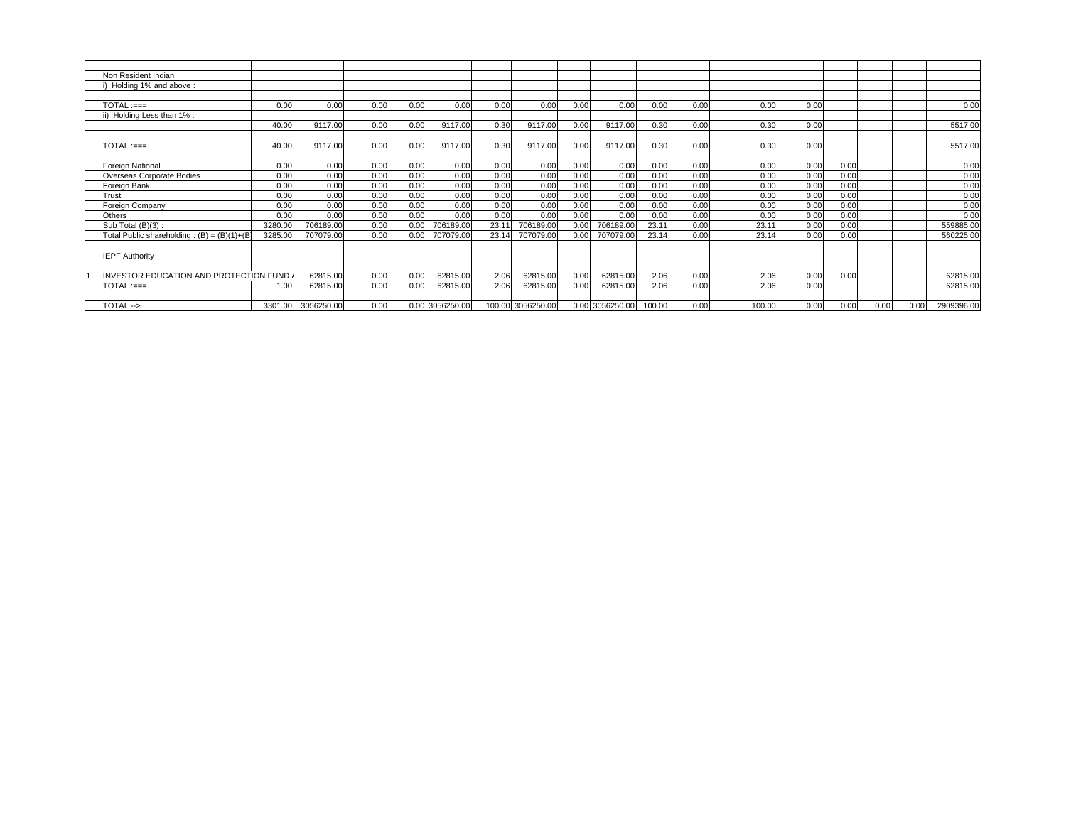| Non Resident Indian                           |         |            |      |      |                 |        |            |      |            |        |      |        |      |      |      |      |            |
|-----------------------------------------------|---------|------------|------|------|-----------------|--------|------------|------|------------|--------|------|--------|------|------|------|------|------------|
| Holding 1% and above:                         |         |            |      |      |                 |        |            |      |            |        |      |        |      |      |      |      |            |
|                                               |         |            |      |      |                 |        |            |      |            |        |      |        |      |      |      |      |            |
| TOTAL :===                                    | 0.00    | 0.00       | 0.00 | 0.00 | 0.00            | 0.00   | 0.00       | 0.00 | 0.00       | 0.00   | 0.00 | 0.00   | 0.00 |      |      |      | 0.00       |
| ii) Holding Less than 1% :                    |         |            |      |      |                 |        |            |      |            |        |      |        |      |      |      |      |            |
|                                               | 40.00   | 9117.00    | 0.00 | 0.00 | 9117.00         | 0.30   | 9117.00    | 0.00 | 9117.00    | 0.30   | 0.00 | 0.30   | 0.00 |      |      |      | 5517.00    |
|                                               |         |            |      |      |                 |        |            |      |            |        |      |        |      |      |      |      |            |
| $TOTAL := ==$                                 | 40.00   | 9117.00    | 0.00 | 0.00 | 9117.00         | 0.30   | 9117.00    | 0.00 | 9117.00    | 0.30   | 0.00 | 0.30   | 0.00 |      |      |      | 5517.00    |
|                                               |         |            |      |      |                 |        |            |      |            |        |      |        |      |      |      |      |            |
| Foreign National                              | 0.00    | 0.00       | 0.00 | 0.00 | 0.00            | 0.00   | 0.00       | 0.00 | 0.00       | 0.00   | 0.00 | 0.00   | 0.00 | 0.00 |      |      | 0.00       |
| Overseas Corporate Bodies                     | 0.00    | 0.00       | 0.00 | 0.00 | 0.00            | 0.00   | 0.00       | 0.00 | 0.00       | 0.00   | 0.00 | 0.00   | 0.00 | 0.00 |      |      | 0.00       |
| Foreign Bank                                  | 0.00    | 0.00       | 0.00 | 0.00 | 0.00            | 0.00   | 0.00       | 0.00 | 0.00       | 0.00   | 0.00 | 0.00   | 0.00 | 0.00 |      |      | 0.00       |
| Trust                                         | 0.00    | 0.00       | 0.00 | 0.00 | 0.00            | 0.00   | 0.00       | 0.00 | 0.00       | 0.00   | 0.00 | 0.00   | 0.00 | 0.00 |      |      | 0.00       |
| Foreign Company                               | 0.00    | 0.00       | 0.00 | 0.00 | 0.00            | 0.00   | 0.00       | 0.00 | 0.00       | 0.00   | 0.00 | 0.00   | 0.00 | 0.00 |      |      | 0.00       |
| Others                                        | 0.00    | 0.00       | 0.00 | 0.00 | 0.00            | 0.00   | 0.00       | 0.00 | 0.00       | 0.00   | 0.00 | 0.00   | 0.00 | 0.00 |      |      | 0.00       |
| Sub Total (B)(3):                             | 3280.00 | 706189.00  | 0.00 | 0.00 | 706189.00       | 23.1   | 706189.00  | 0.00 | 706189.00  | 23.11  | 0.00 | 23.1   | 0.00 | 0.00 |      |      | 559885.00  |
| Total Public shareholding: $(B) = (B)(1)+(B)$ | 3285.00 | 707079.00  | 0.00 | 0.00 | 707079.00       | 23.14  | 707079.00  | 0.00 | 707079.00  | 23.14  | 0.00 | 23.1   | 0.00 | 0.00 |      |      | 560225.00  |
|                                               |         |            |      |      |                 |        |            |      |            |        |      |        |      |      |      |      |            |
| <b>IEPF Authority</b>                         |         |            |      |      |                 |        |            |      |            |        |      |        |      |      |      |      |            |
|                                               |         |            |      |      |                 |        |            |      |            |        |      |        |      |      |      |      |            |
| NVESTOR EDUCATION AND PROTECTION FUND         |         | 62815.00   | 0.00 | 0.00 | 62815.00        | 2.06   | 62815.00   | 0.00 | 62815.00   | 2.06   | 0.00 | 2.06   | 0.00 | 0.00 |      |      | 62815.00   |
| $TOTAL := =$                                  | 1.00    | 62815.00   | 0.00 | 0.00 | 62815.00        | 2.06   | 62815.00   | 0.00 | 62815.00   | 2.06   | 0.00 | 2.06   | 0.00 |      |      |      | 62815.00   |
|                                               |         |            |      |      |                 |        |            |      |            |        |      |        |      |      |      |      |            |
| TOTAL->                                       | 3301.0  | 3056250.00 | 0.00 |      | 0.00 3056250.00 | 100.00 | 3056250.00 | 0.00 | 3056250.00 | 100.00 | 0.00 | 100.00 | 0.00 | 0.00 | 0.00 | 0.00 | 2909396.00 |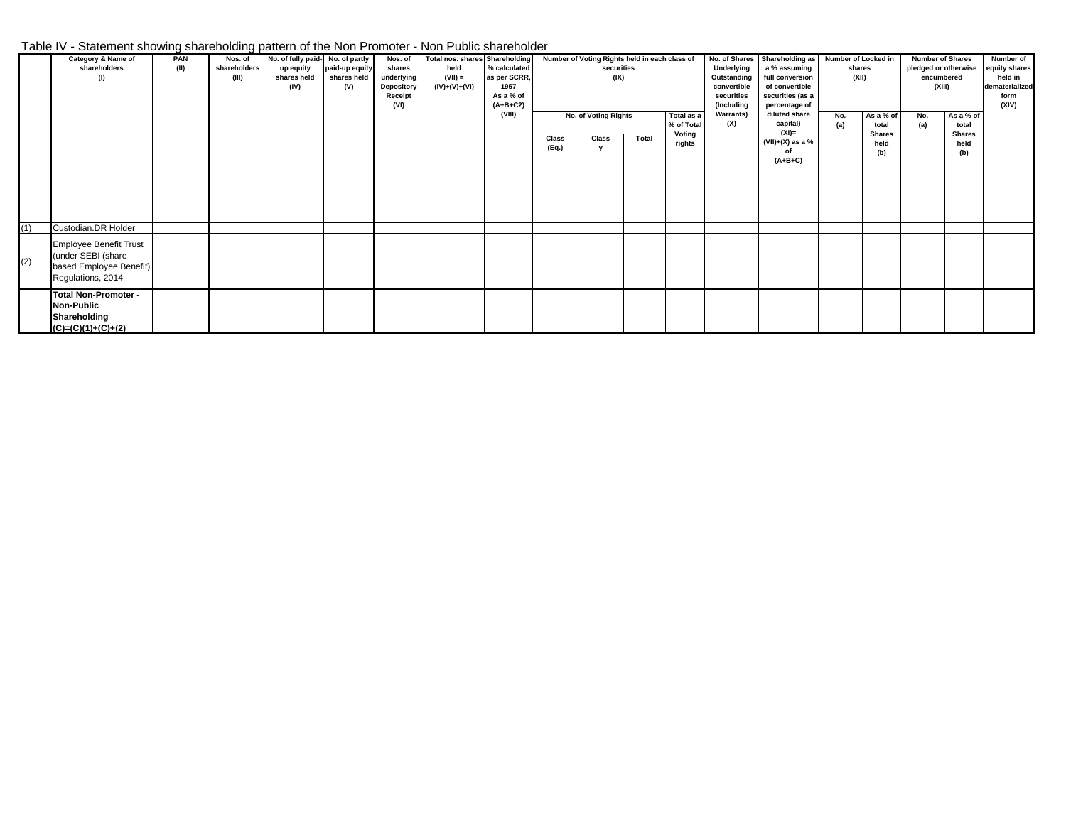## Table IV - Statement showing shareholding pattern of the Non Promoter - Non Public shareholder

|     | Category & Name of<br>shareholders<br>(1)                                                           | PAN<br>(II) | - -<br>Nos. of<br>shareholders<br>(III) | No. of fully paid- No. of partly<br>up equity<br>shares held<br>(IV) | paid-up equity<br>shares held<br>(V) | Nos. of<br>shares<br>underlying<br>Depository<br>Receipt<br>(VI) | <b>Total nos. shares Shareholding</b><br>held<br>$(VII) =$<br>(IV)+(V)+(VI) | % calculated<br>as per SCRR,<br>1957<br>As a % of<br>$(A+B+C2)$ |                | securities<br>(IX)            |       | Number of Voting Rights held in each class of |                         | No. of Shares Shareholding as Number of Locked in<br>Underlying<br>a % assuming<br>Outstanding<br>full conversion<br>convertible<br>of convertible<br>securities<br>securities (as a<br>(Including<br>percentage of |            | shares<br>(XII)                                    |            | <b>Number of Shares</b><br>pledged or otherwise<br>encumbered<br>(XIiI) | Number of<br>equity shares<br>held in<br>dematerialized<br>form<br>(XIV) |
|-----|-----------------------------------------------------------------------------------------------------|-------------|-----------------------------------------|----------------------------------------------------------------------|--------------------------------------|------------------------------------------------------------------|-----------------------------------------------------------------------------|-----------------------------------------------------------------|----------------|-------------------------------|-------|-----------------------------------------------|-------------------------|---------------------------------------------------------------------------------------------------------------------------------------------------------------------------------------------------------------------|------------|----------------------------------------------------|------------|-------------------------------------------------------------------------|--------------------------------------------------------------------------|
|     |                                                                                                     |             |                                         |                                                                      |                                      |                                                                  |                                                                             | (VIII)                                                          | Class<br>(Eq.) | No. of Voting Rights<br>Class | Total | Total as a<br>% of Total<br>Voting<br>rights  | <b>Warrants)</b><br>(X) | diluted share<br>capital)<br>$(XI)$ =<br>$(VII)+(X)$ as a %<br>of<br>$(A+B+C)$                                                                                                                                      | No.<br>(a) | As a % of<br>total<br><b>Shares</b><br>held<br>(b) | No.<br>(a) | As a % of<br>total<br><b>Shares</b><br>held<br>(b)                      |                                                                          |
| (1) | Custodian.DR Holder                                                                                 |             |                                         |                                                                      |                                      |                                                                  |                                                                             |                                                                 |                |                               |       |                                               |                         |                                                                                                                                                                                                                     |            |                                                    |            |                                                                         |                                                                          |
| (2) | <b>Employee Benefit Trust</b><br>(under SEBI (share<br>based Employee Benefit)<br>Regulations, 2014 |             |                                         |                                                                      |                                      |                                                                  |                                                                             |                                                                 |                |                               |       |                                               |                         |                                                                                                                                                                                                                     |            |                                                    |            |                                                                         |                                                                          |
|     | <b>Total Non-Promoter -</b><br><b>Non-Public</b><br>Shareholding<br>$(C)=(C)(1)+(C)+(2)$            |             |                                         |                                                                      |                                      |                                                                  |                                                                             |                                                                 |                |                               |       |                                               |                         |                                                                                                                                                                                                                     |            |                                                    |            |                                                                         |                                                                          |